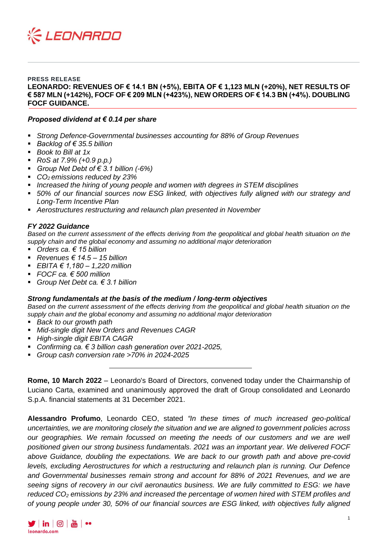

**PRESS RELEASE LEONARDO: REVENUES OF € 14.1 BN (+5%), EBITA OF € 1,123 MLN (+20%), NET RESULTS OF € 587 MLN (+142%), FOCF OF € 209 MLN (+423%), NEW ORDERS OF € 14.3 BN (+4%). DOUBLING FOCF GUIDANCE.**

#### *Proposed dividend at € 0.14 per share*

- *Strong Defence-Governmental businesses accounting for 88% of Group Revenues*
- *Backlog of € 35.5 billion*
- *Book to Bill at 1x*
- *RoS at 7.9% (+0.9 p.p.)*
- *Group Net Debt of € 3.1 billion (-6%)*
- *CO2 emissions reduced by 23%*
- *Increased the hiring of young people and women with degrees in STEM disciplines*
- 50% of our financial sources now ESG linked, with objectives fully aligned with our strategy and *Long-Term Incentive Plan*
- *Aerostructures restructuring and relaunch plan presented in November*

#### *FY 2022 Guidance*

*Based on the current assessment of the effects deriving from the geopolitical and global health situation on the supply chain and the global economy and assuming no additional major deterioration*

- *Orders ca. € 15 billion*
- *Revenues € 14.5 – 15 billion*
- *EBITA € 1,180 – 1,220 million*
- *FOCF ca. € 500 million*
- *Group Net Debt ca. € 3.1 billion*

#### *Strong fundamentals at the basis of the medium / long-term objectives*

*Based on the current assessment of the effects deriving from the geopolitical and global health situation on the supply chain and the global economy and assuming no additional major deterioration*

- *Back to our growth path*
- *Mid-single digit New Orders and Revenues CAGR*
- *High-single digit EBITA CAGR*
- *Confirming ca. € 3 billion cash generation over 2021-2025,*
- *Group cash conversion rate >70% in 2024-2025*

**Rome, 10 March 2022** – Leonardo's Board of Directors, convened today under the Chairmanship of Luciano Carta, examined and unanimously approved the draft of Group consolidated and Leonardo S.p.A. financial statements at 31 December 2021.

**Alessandro Profumo**, Leonardo CEO, stated *"In these times of much increased geo-political uncertainties, we are monitoring closely the situation and we are aligned to government policies across*  our geographies. We remain focussed on meeting the needs of our customers and we are well *positioned given our strong business fundamentals. 2021 was an important year. We delivered FOCF above Guidance, doubling the expectations. We are back to our growth path and above pre-covid levels, excluding Aerostructures for which a restructuring and relaunch plan is running. Our Defence and Governmental businesses remain strong and account for 88% of 2021 Revenues, and we are seeing signs of recovery in our civil aeronautics business. We are fully committed to ESG: we have reduced CO<sup>2</sup> emissions by 23% and increased the percentage of women hired with STEM profiles and of young people under 30, 50% of our financial sources are ESG linked, with objectives fully aligned* 

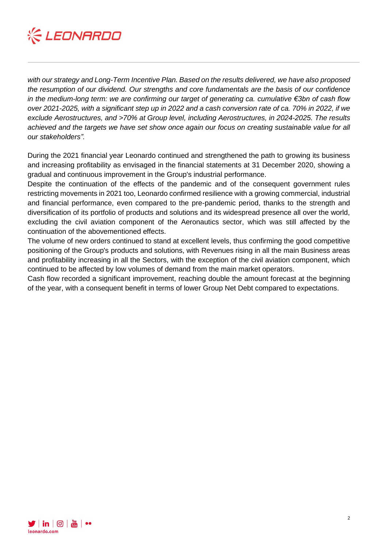

*with our strategy and Long-Term Incentive Plan. Based on the results delivered, we have also proposed the resumption of our dividend. Our strengths and core fundamentals are the basis of our confidence in the medium-long term: we are confirming our target of generating ca. cumulative €3bn of cash flow over 2021-2025, with a significant step up in 2022 and a cash conversion rate of ca. 70% in 2022, if we exclude Aerostructures, and >70% at Group level, including Aerostructures, in 2024-2025. The results achieved and the targets we have set show once again our focus on creating sustainable value for all our stakeholders".*

During the 2021 financial year Leonardo continued and strengthened the path to growing its business and increasing profitability as envisaged in the financial statements at 31 December 2020, showing a gradual and continuous improvement in the Group's industrial performance.

Despite the continuation of the effects of the pandemic and of the consequent government rules restricting movements in 2021 too, Leonardo confirmed resilience with a growing commercial, industrial and financial performance, even compared to the pre-pandemic period, thanks to the strength and diversification of its portfolio of products and solutions and its widespread presence all over the world, excluding the civil aviation component of the Aeronautics sector, which was still affected by the continuation of the abovementioned effects.

The volume of new orders continued to stand at excellent levels, thus confirming the good competitive positioning of the Group's products and solutions, with Revenues rising in all the main Business areas and profitability increasing in all the Sectors, with the exception of the civil aviation component, which continued to be affected by low volumes of demand from the main market operators.

Cash flow recorded a significant improvement, reaching double the amount forecast at the beginning of the year, with a consequent benefit in terms of lower Group Net Debt compared to expectations.

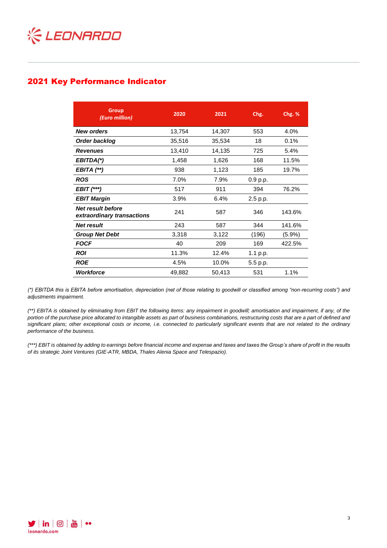

# 2021 Key Performance Indicator

| <b>Group</b><br>(Euro million)                         | 2020   | 2021   | Chg.     | Chg. %    |
|--------------------------------------------------------|--------|--------|----------|-----------|
| <b>New orders</b>                                      | 13,754 | 14,307 | 553      | 4.0%      |
| Order backlog                                          | 35,516 | 35,534 | 18       | 0.1%      |
| <b>Revenues</b>                                        | 13,410 | 14,135 | 725      | 5.4%      |
| EBITDA(*)                                              | 1,458  | 1,626  | 168      | 11.5%     |
| EBITA (**)                                             | 938    | 1,123  | 185      | 19.7%     |
| <b>ROS</b>                                             | 7.0%   | 7.9%   | 0.9 p.p. |           |
| $EBIT$ $(***)$                                         | 517    | 911    | 394      | 76.2%     |
| <b>EBIT Margin</b>                                     | 3.9%   | 6.4%   | 2.5 p.p. |           |
| <b>Net result before</b><br>extraordinary transactions | 241    | 587    | 346      | 143.6%    |
| <b>Net result</b>                                      | 243    | 587    | 344      | 141.6%    |
| <b>Group Net Debt</b>                                  | 3,318  | 3,122  | (196)    | $(5.9\%)$ |
| <b>FOCF</b>                                            | 40     | 209    | 169      | 422.5%    |
| <b>ROI</b>                                             | 11.3%  | 12.4%  | 1.1 p.p. |           |
| <b>ROE</b>                                             | 4.5%   | 10.0%  | 5.5 p.p. |           |
| <b>Workforce</b>                                       | 49,882 | 50,413 | 531      | 1.1%      |

*(\*) EBITDA this is EBITA before amortisation, depreciation (net of those relating to goodwill or classified among "non-recurring costs") and adjustments impairment.*

*(\*\*) EBITA is obtained by eliminating from EBIT the following items: any impairment in goodwill; amortisation and impairment, if any, of the portion of the purchase price allocated to intangible assets as part of business combinations, restructuring costs that are a part of defined and significant plans; other exceptional costs or income, i.e. connected to particularly significant events that are not related to the ordinary performance of the business.* 

*(\*\*\*) EBIT is obtained by adding to earnings before financial income and expense and taxes and taxes the Group's share of profit in the results of its strategic Joint Ventures (GIE-ATR, MBDA, Thales Alenia Space and Telespazio).*

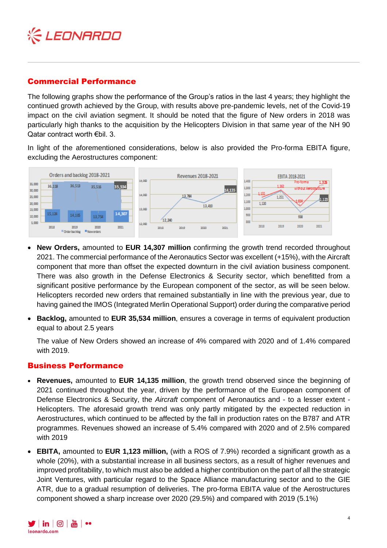

# Commercial Performance

The following graphs show the performance of the Group's ratios in the last 4 years; they highlight the continued growth achieved by the Group, with results above pre-pandemic levels, net of the Covid-19 impact on the civil aviation segment. It should be noted that the figure of New orders in 2018 was particularly high thanks to the acquisition by the Helicopters Division in that same year of the NH 90 Qatar contract worth €bil. 3.

In light of the aforementioned considerations, below is also provided the Pro-forma EBITA figure, excluding the Aerostructures component:



- **New Orders,** amounted to **EUR 14,307 million** confirming the growth trend recorded throughout 2021. The commercial performance of the Aeronautics Sector was excellent (+15%), with the Aircraft component that more than offset the expected downturn in the civil aviation business component. There was also growth in the Defense Electronics & Security sector, which benefitted from a significant positive performance by the European component of the sector, as will be seen below. Helicopters recorded new orders that remained substantially in line with the previous year, due to having gained the IMOS (Integrated Merlin Operational Support) order during the comparative period
- **Backlog,** amounted to **EUR 35,534 million**, ensures a coverage in terms of equivalent production equal to about 2.5 years

The value of New Orders showed an increase of 4% compared with 2020 and of 1.4% compared with 2019.

### Business Performance

- **Revenues,** amounted to **EUR 14,135 million**, the growth trend observed since the beginning of 2021 continued throughout the year, driven by the performance of the European component of Defense Electronics & Security, the *Aircraft* component of Aeronautics and - to a lesser extent - Helicopters. The aforesaid growth trend was only partly mitigated by the expected reduction in Aerostructures, which continued to be affected by the fall in production rates on the B787 and ATR programmes. Revenues showed an increase of 5.4% compared with 2020 and of 2.5% compared with 2019
- **EBITA,** amounted to **EUR 1,123 million,** (with a ROS of 7.9%) recorded a significant growth as a whole (20%), with a substantial increase in all business sectors, as a result of higher revenues and improved profitability, to which must also be added a higher contribution on the part of all the strategic Joint Ventures, with particular regard to the Space Alliance manufacturing sector and to the GIE ATR, due to a gradual resumption of deliveries. The pro-forma EBITA value of the Aerostructures component showed a sharp increase over 2020 (29.5%) and compared with 2019 (5.1%)

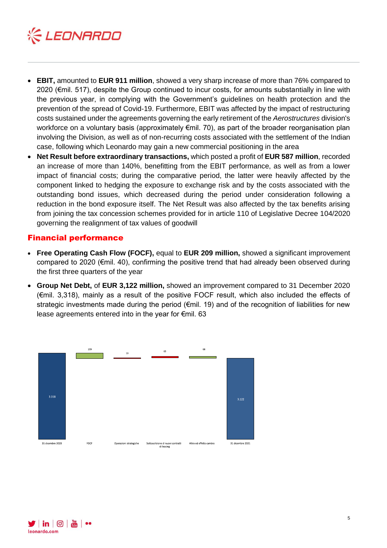

- **EBIT,** amounted to **EUR 911 million**, showed a very sharp increase of more than 76% compared to 2020 (€mil. 517), despite the Group continued to incur costs, for amounts substantially in line with the previous year, in complying with the Government's guidelines on health protection and the prevention of the spread of Covid-19. Furthermore, EBIT was affected by the impact of restructuring costs sustained under the agreements governing the early retirement of the *Aerostructures* division's workforce on a voluntary basis (approximately €mil. 70), as part of the broader reorganisation plan involving the Division, as well as of non-recurring costs associated with the settlement of the Indian case, following which Leonardo may gain a new commercial positioning in the area
- **Net Result before extraordinary transactions,** which posted a profit of **EUR 587 million**, recorded an increase of more than 140%, benefitting from the EBIT performance, as well as from a lower impact of financial costs; during the comparative period, the latter were heavily affected by the component linked to hedging the exposure to exchange risk and by the costs associated with the outstanding bond issues, which decreased during the period under consideration following a reduction in the bond exposure itself. The Net Result was also affected by the tax benefits arising from joining the tax concession schemes provided for in article 110 of Legislative Decree 104/2020 governing the realignment of tax values of goodwill

### Financial performance

- **Free Operating Cash Flow (FOCF),** equal to **EUR 209 million,** showed a significant improvement compared to 2020 (€mil. 40), confirming the positive trend that had already been observed during the first three quarters of the year
- **Group Net Debt,** of **EUR 3,122 million,** showed an improvement compared to 31 December 2020 (€mil. 3,318), mainly as a result of the positive FOCF result, which also included the effects of strategic investments made during the period ( $\epsilon$ mil. 19) and of the recognition of liabilities for new lease agreements entered into in the year for €mil. 63



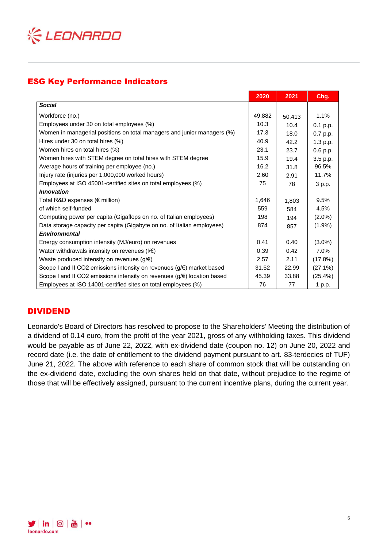

# ESG Key Performance Indicators

|                                                                         | 2020   | 2021   | Chg.       |
|-------------------------------------------------------------------------|--------|--------|------------|
| <b>Social</b>                                                           |        |        |            |
| Workforce (no.)                                                         | 49,882 | 50,413 | 1.1%       |
| Employees under 30 on total employees (%)                               | 10.3   | 10.4   | $0.1$ p.p. |
| Women in managerial positions on total managers and junior managers (%) | 17.3   | 18.0   | 0.7 p.p.   |
| Hires under 30 on total hires (%)                                       | 40.9   | 42.2   | 1.3 p.p.   |
| Women hires on total hires (%)                                          | 23.1   | 23.7   | 0.6 p.p.   |
| Women hires with STEM degree on total hires with STEM degree            | 15.9   | 19.4   | 3.5 p.p.   |
| Average hours of training per employee (no.)                            | 16.2   | 31.8   | 96.5%      |
| Injury rate (injuries per 1,000,000 worked hours)                       | 2.60   | 2.91   | 11.7%      |
| Employees at ISO 45001-certified sites on total employees (%)           | 75     | 78     | 3 p.p.     |
| <b>Innovation</b>                                                       |        |        |            |
| Total R&D expenses (€ million)                                          | 1,646  | 1,803  | 9.5%       |
| of which self-funded                                                    | 559    | 584    | 4.5%       |
| Computing power per capita (Gigaflops on no. of Italian employees)      | 198    | 194    | $(2.0\%)$  |
| Data storage capacity per capita (Gigabyte on no. of Italian employees) | 874    | 857    | $(1.9\%)$  |
| <b>Environmental</b>                                                    |        |        |            |
| Energy consumption intensity (MJ/euro) on revenues                      | 0.41   | 0.40   | $(3.0\%)$  |
| Water withdrawals intensity on revenues $(I/E)$                         | 0.39   | 0.42   | 7.0%       |
| Waste produced intensity on revenues $(g/\epsilon)$                     | 2.57   | 2.11   | (17.8%)    |
| Scope I and II CO2 emissions intensity on revenues (g/€) market based   | 31.52  | 22.99  | (27.1%)    |
| Scope I and II CO2 emissions intensity on revenues (g/€) location based | 45.39  | 33.88  | (25.4%)    |
| Employees at ISO 14001-certified sites on total employees (%)           | 76     | 77     | 1 p.p.     |

# DIVIDEND

Leonardo's Board of Directors has resolved to propose to the Shareholders' Meeting the distribution of a dividend of 0.14 euro, from the profit of the year 2021, gross of any withholding taxes. This dividend would be payable as of June 22, 2022, with ex-dividend date (coupon no. 12) on June 20, 2022 and record date (i.e. the date of entitlement to the dividend payment pursuant to art. 83-terdecies of TUF) June 21, 2022. The above with reference to each share of common stock that will be outstanding on the ex-dividend date, excluding the own shares held on that date, without prejudice to the regime of those that will be effectively assigned, pursuant to the current incentive plans, during the current year.

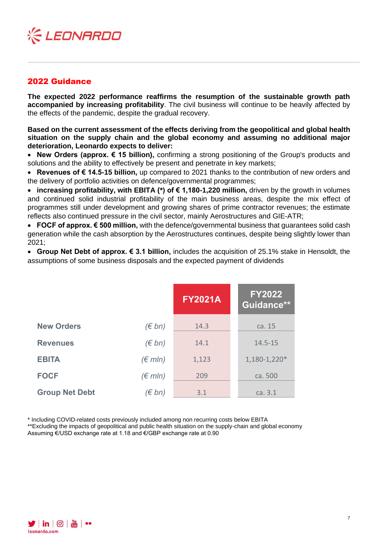

## 2022 Guidance

**The expected 2022 performance reaffirms the resumption of the sustainable growth path accompanied by increasing profitability**. The civil business will continue to be heavily affected by the effects of the pandemic, despite the gradual recovery.

**Based on the current assessment of the effects deriving from the geopolitical and global health situation on the supply chain and the global economy and assuming no additional major deterioration, Leonardo expects to deliver:**

• **New Orders (approx. € 15 billion),** confirming a strong positioning of the Group's products and solutions and the ability to effectively be present and penetrate in key markets;

• **Revenues of € 14.5-15 billion,** up compared to 2021 thanks to the contribution of new orders and the delivery of portfolio activities on defence/governmental programmes;

• **increasing profitability, with EBITA (\*) of € 1,180-1,220 million,** driven by the growth in volumes and continued solid industrial profitability of the main business areas, despite the mix effect of programmes still under development and growing shares of prime contractor revenues; the estimate reflects also continued pressure in the civil sector, mainly Aerostructures and GIE-ATR;

• **FOCF of approx. € 500 million,** with the defence/governmental business that guarantees solid cash generation while the cash absorption by the Aerostructures continues, despite being slightly lower than 2021;

• **Group Net Debt of approx. € 3.1 billion,** includes the acquisition of 25.1% stake in Hensoldt, the assumptions of some business disposals and the expected payment of dividends

|                       |                  | <b>FY2021A</b> | <b>FY2022</b><br>Guidance** |
|-----------------------|------------------|----------------|-----------------------------|
| <b>New Orders</b>     | $(\in$ bn)       | 14.3           | ca. 15                      |
| <b>Revenues</b>       | $(\in$ bn)       | 14.1           | $14.5 - 15$                 |
| <b>EBITA</b>          | $(\epsilon$ mln) | 1,123          | 1,180-1,220*                |
| <b>FOCF</b>           | $(\epsilon$ mln) | 209            | ca. 500                     |
| <b>Group Net Debt</b> | $(\in$ bn)       | 3.1            | ca. 3.1                     |

\* Including COVID-related costs previously included among non recurring costs below EBITA

\*\*Excluding the impacts of geopolitical and public health situation on the supply-chain and global economy Assuming €/USD exchange rate at 1.18 and €/GBP exchange rate at 0.90

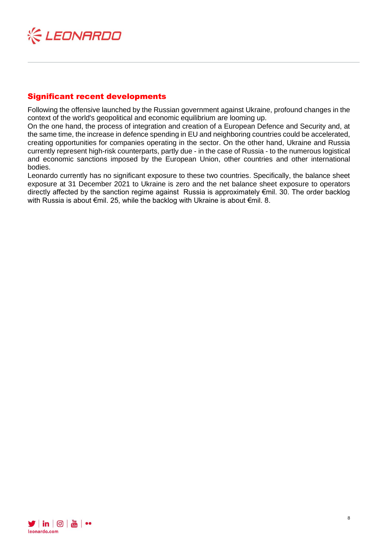

# Significant recent developments

Following the offensive launched by the Russian government against Ukraine, profound changes in the context of the world's geopolitical and economic equilibrium are looming up.

On the one hand, the process of integration and creation of a European Defence and Security and, at the same time, the increase in defence spending in EU and neighboring countries could be accelerated, creating opportunities for companies operating in the sector. On the other hand, Ukraine and Russia currently represent high-risk counterparts, partly due - in the case of Russia - to the numerous logistical and economic sanctions imposed by the European Union, other countries and other international bodies.

Leonardo currently has no significant exposure to these two countries. Specifically, the balance sheet exposure at 31 December 2021 to Ukraine is zero and the net balance sheet exposure to operators directly affected by the sanction regime against Russia is approximately €mil. 30. The order backlog with Russia is about €mil. 25, while the backlog with Ukraine is about €mil. 8.

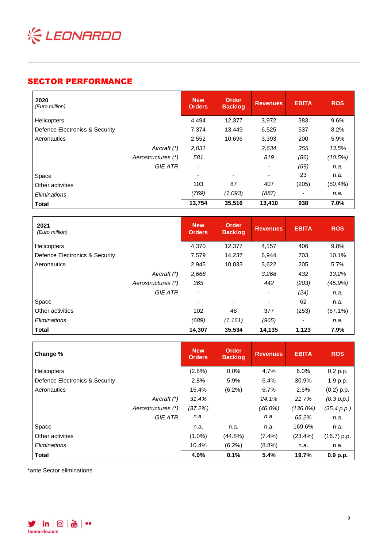

# SECTOR PERFORMANCE

| 2020<br>(Euro million)         | <b>New</b><br><b>Orders</b> | Order<br><b>Backlog</b>  | <b>Revenues</b>          | <b>EBITA</b> | <b>ROS</b> |
|--------------------------------|-----------------------------|--------------------------|--------------------------|--------------|------------|
| Helicopters                    | 4,494                       | 12,377                   | 3,972                    | 383          | 9.6%       |
| Defence Electronics & Security | 7,374                       | 13,449                   | 6,525                    | 537          | 8.2%       |
| Aeronautics                    | 2,552                       | 10,696                   | 3,393                    | 200          | 5.9%       |
| Aircraft (*)                   | 2,031                       |                          | 2,634                    | 355          | 13.5%      |
| Aerostructures (*)             | 581                         |                          | 819                      | (86)         | (10.5%)    |
| <b>GIE ATR</b>                 | ٠                           |                          | ٠                        | (69)         | n.a.       |
| Space                          |                             | $\overline{\phantom{0}}$ | $\overline{\phantom{0}}$ | 23           | n.a.       |
| Other activities               | 103                         | 87                       | 407                      | (205)        | $(50.4\%)$ |
| Eliminations                   | (769)                       | (1,093)                  | (887)                    |              | n.a.       |
| <b>Total</b>                   | 13,754                      | 35,516                   | 13,410                   | 938          | 7.0%       |

| 2021<br>(Euro million)         |                    | <b>New</b><br><b>Orders</b> | <b>Order</b><br><b>Backlog</b> | <b>Revenues</b>          | <b>EBITA</b> | <b>ROS</b> |
|--------------------------------|--------------------|-----------------------------|--------------------------------|--------------------------|--------------|------------|
| <b>Helicopters</b>             |                    | 4,370                       | 12,377                         | 4,157                    | 406          | 9.8%       |
| Defence Electronics & Security |                    | 7,579                       | 14,237                         | 6,944                    | 703          | 10.1%      |
| Aeronautics                    |                    | 2,945                       | 10,033                         | 3,622                    | 205          | 5.7%       |
|                                | Aircraft (*)       | 2,668                       |                                | 3,268                    | 432          | 13.2%      |
|                                | Aerostructures (*) | 365                         |                                | 442                      | (203)        | (45.9%)    |
|                                | <b>GIE ATR</b>     | $\overline{\phantom{a}}$    |                                |                          | (24)         | n.a.       |
| Space                          |                    | ٠                           | $\overline{\phantom{0}}$       | $\overline{\phantom{0}}$ | 62           | n.a.       |
| Other activities               |                    | 102                         | 48                             | 377                      | (253)        | $(67.1\%)$ |
| Eliminations                   |                    | (689)                       | (1, 161)                       | (965)                    |              | n.a.       |
| <b>Total</b>                   |                    | 14,307                      | 35,534                         | 14,135                   | 1,123        | 7.9%       |

| Change %                       |                    | <b>New</b><br><b>Orders</b> | <b>Order</b><br><b>Backlog</b> | <b>Revenues</b> | <b>EBITA</b> | <b>ROS</b>    |
|--------------------------------|--------------------|-----------------------------|--------------------------------|-----------------|--------------|---------------|
| <b>Helicopters</b>             |                    | $(2.8\%)$                   | 0.0%                           | 4.7%            | 6.0%         | 0.2 p.p.      |
| Defence Electronics & Security |                    | 2.8%                        | 5.9%                           | 6.4%            | 30.9%        | 1.9 p.p.      |
| Aeronautics                    |                    | 15.4%                       | $(6.2\%)$                      | 6.7%            | 2.5%         | $(0.2)$ p.p.  |
|                                | Aircraft (*)       | 31.4%                       |                                | 24.1%           | 21.7%        | (0.3 p.p.)    |
|                                | Aerostructures (*) | (37.2%)                     |                                | $(46.0\%)$      | $(136.0\%)$  | (35.4 p.p.)   |
|                                | <b>GIE ATR</b>     | n.a.                        |                                | n.a.            | 65.2%        | n.a.          |
| Space                          |                    | n.a.                        | n.a.                           | n.a.            | 169.6%       | n.a.          |
| Other activities               |                    | $(1.0\%)$                   | $(44.8\%)$                     | $(7.4\%)$       | $(23.4\%)$   | $(16.7)$ p.p. |
| Eliminations                   |                    | 10.4%                       | $(6.2\%)$                      | $(8.8\%)$       | n.a.         | n.a.          |
| <b>Total</b>                   |                    | 4.0%                        | 0.1%                           | 5.4%            | 19.7%        | 0.9 p.p.      |

\*ante Sector eliminations

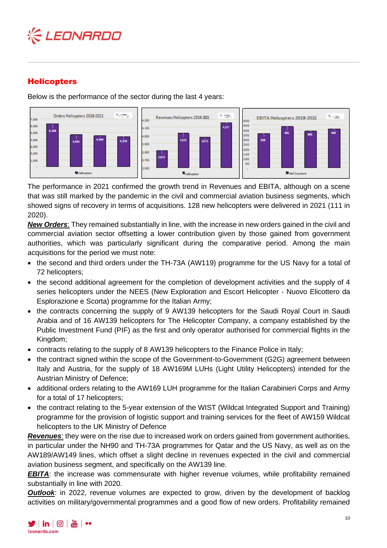

# **Helicopters**

Below is the performance of the sector during the last 4 years:



The performance in 2021 confirmed the growth trend in Revenues and EBITA, although on a scene that was still marked by the pandemic in the civil and commercial aviation business segments, which showed signs of recovery in terms of acquisitions. 128 new helicopters were delivered in 2021 (111 in 2020).

*New Orders*: They remained substantially in line, with the increase in new orders gained in the civil and commercial aviation sector offsetting a lower contribution given by those gained from government authorities, which was particularly significant during the comparative period. Among the main acquisitions for the period we must note:

- the second and third orders under the TH-73A (AW119) programme for the US Navy for a total of 72 helicopters;
- the second additional agreement for the completion of development activities and the supply of 4 series helicopters under the NEES (New Exploration and Escort Helicopter - Nuovo Elicottero da Esplorazione e Scorta) programme for the Italian Army;
- the contracts concerning the supply of 9 AW139 helicopters for the Saudi Royal Court in Saudi Arabia and of 16 AW139 helicopters for The Helicopter Company, a company established by the Public Investment Fund (PIF) as the first and only operator authorised for commercial flights in the Kingdom;
- contracts relating to the supply of 8 AW139 helicopters to the Finance Police in Italy;
- the contract signed within the scope of the Government-to-Government (G2G) agreement between Italy and Austria, for the supply of 18 AW169M LUHs (Light Utility Helicopters) intended for the Austrian Ministry of Defence;
- additional orders relating to the AW169 LUH programme for the Italian Carabinieri Corps and Army for a total of 17 helicopters;
- the contract relating to the 5-year extension of the WIST (Wildcat Integrated Support and Training) programme for the provision of logistic support and training services for the fleet of AW159 Wildcat helicopters to the UK Ministry of Defence

*Revenues*: they were on the rise due to increased work on orders gained from government authorities, in particular under the NH90 and TH-73A programmes for Qatar and the US Navy, as well as on the AW189/AW149 lines, which offset a slight decline in revenues expected in the civil and commercial aviation business segment, and specifically on the AW139 line.

*EBITA*: the increase was commensurate with higher revenue volumes, while profitability remained substantially in line with 2020.

*Outlook*: in 2022, revenue volumes are expected to grow, driven by the development of backlog activities on military/governmental programmes and a good flow of new orders. Profitability remained

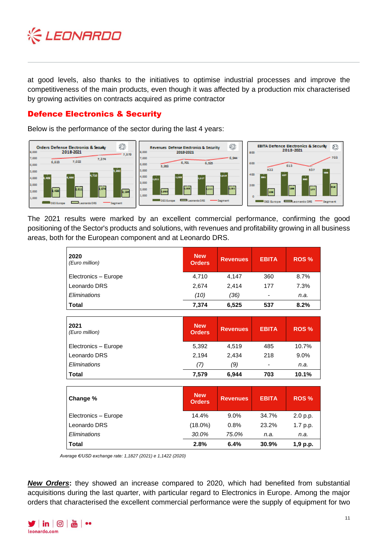

at good levels, also thanks to the initiatives to optimise industrial processes and improve the competitiveness of the main products, even though it was affected by a production mix characterised by growing activities on contracts acquired as prime contractor

## Defence Electronics & Security

Below is the performance of the sector during the last 4 years:



The 2021 results were marked by an excellent commercial performance, confirming the good positioning of the Sector's products and solutions, with revenues and profitability growing in all business areas, both for the European component and at Leonardo DRS.

| 2020<br>(Euro million) | <b>New</b><br><b>Orders</b> | <b>Revenues</b> | <b>EBITA</b> | ROS <sub>%</sub> |
|------------------------|-----------------------------|-----------------|--------------|------------------|
| Electronics - Europe   | 4,710                       | 4,147           | 360          | 8.7%             |
| Leonardo DRS           | 2,674                       | 2,414           | 177          | 7.3%             |
| Eliminations           | (10)                        | (36)            |              | n.a.             |
| <b>Total</b>           | 7,374                       | 6,525           | 537          | 8.2%             |
|                        |                             |                 |              |                  |
|                        |                             |                 |              |                  |
| 2021<br>(Euro million) | <b>New</b><br><b>Orders</b> | <b>Revenues</b> | <b>EBITA</b> | ROS <sub>%</sub> |
| Electronics - Europe   | 5,392                       | 4,519           | 485          | 10.7%            |
| Leonardo DRS           | 2,194                       | 2,434           | 218          | $9.0\%$          |

| Change %             | <b>New</b><br><b>Orders</b> | <b>Revenues</b> | <b>EBITA</b> | ROS <sub>%</sub> |
|----------------------|-----------------------------|-----------------|--------------|------------------|
| Electronics - Europe | 14.4%                       | $9.0\%$         | 34.7%        | 2.0 p.p.         |
| Leonardo DRS         | $(18.0\%)$                  | 0.8%            | 23.2%        | 1.7 p.p.         |
| Eliminations         | 30.0%                       | 75.0%           | n.a.         | n.a.             |
| Total                | 2.8%                        | 6.4%            | 30.9%        | 1,9 p.p.         |

**Total 7,579 6,944 703 10.1%**

*Average €/USD exchange rate: 1,1827 (2021) e 1,1422 (2020)*

*New Orders***:** they showed an increase compared to 2020, which had benefited from substantial acquisitions during the last quarter, with particular regard to Electronics in Europe. Among the major orders that characterised the excellent commercial performance were the supply of equipment for two

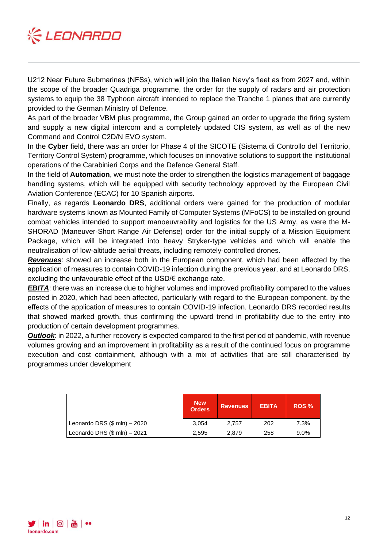

U212 Near Future Submarines (NFSs), which will join the Italian Navy's fleet as from 2027 and, within the scope of the broader Quadriga programme, the order for the supply of radars and air protection systems to equip the 38 Typhoon aircraft intended to replace the Tranche 1 planes that are currently provided to the German Ministry of Defence.

As part of the broader VBM plus programme, the Group gained an order to upgrade the firing system and supply a new digital intercom and a completely updated CIS system, as well as of the new Command and Control C2D/N EVO system.

In the **Cyber** field, there was an order for Phase 4 of the SICOTE (Sistema di Controllo del Territorio, Territory Control System) programme, which focuses on innovative solutions to support the institutional operations of the Carabinieri Corps and the Defence General Staff.

In the field of **Automation**, we must note the order to strengthen the logistics management of baggage handling systems, which will be equipped with security technology approved by the European Civil Aviation Conference (ECAC) for 10 Spanish airports.

Finally, as regards **Leonardo DRS**, additional orders were gained for the production of modular hardware systems known as Mounted Family of Computer Systems (MFoCS) to be installed on ground combat vehicles intended to support manoeuvrability and logistics for the US Army, as were the M-SHORAD (Maneuver-Short Range Air Defense) order for the initial supply of a Mission Equipment Package, which will be integrated into heavy Stryker-type vehicles and which will enable the neutralisation of low-altitude aerial threats, including remotely-controlled drones.

*Revenues*: showed an increase both in the European component, which had been affected by the application of measures to contain COVID-19 infection during the previous year, and at Leonardo DRS, excluding the unfavourable effect of the USD/€ exchange rate.

*EBITA*: there was an increase due to higher volumes and improved profitability compared to the values posted in 2020, which had been affected, particularly with regard to the European component, by the effects of the application of measures to contain COVID-19 infection. Leonardo DRS recorded results that showed marked growth, thus confirming the upward trend in profitability due to the entry into production of certain development programmes.

*Outlook:* in 2022, a further recovery is expected compared to the first period of pandemic, with revenue volumes growing and an improvement in profitability as a result of the continued focus on programme execution and cost containment, although with a mix of activities that are still characterised by programmes under development

|                                   | <b>New</b><br><b>Orders</b> | <b>Revenues</b> | <b>EBITA</b> | ROS <sub>%</sub> |
|-----------------------------------|-----------------------------|-----------------|--------------|------------------|
| Leonardo DRS $(\$$ mln $) - 2020$ | 3.054                       | 2.757           | 202          | 7.3%             |
| Leonardo DRS $(\$$ mln $) - 2021$ | 2.595                       | 2.879           | 258          | 9.0%             |

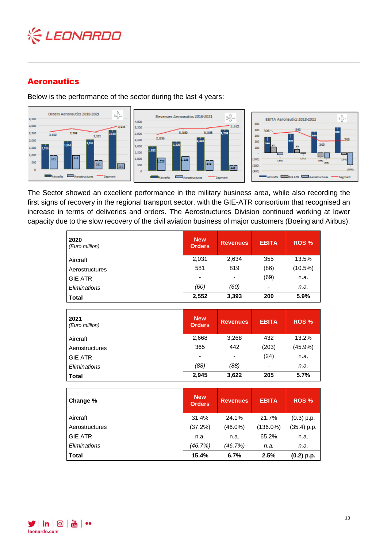

# Aeronautics

Below is the performance of the sector during the last 4 years:



The Sector showed an excellent performance in the military business area, while also recording the first signs of recovery in the regional transport sector, with the GIE-ATR consortium that recognised an increase in terms of deliveries and orders. The Aerostructures Division continued working at lower capacity due to the slow recovery of the civil aviation business of major customers (Boeing and Airbus).

| 2020<br>(Euro million) | <b>New</b><br><b>Orders</b> | <b>Revenues</b>          | <b>EBITA</b>             | ROS <sub>%</sub> |
|------------------------|-----------------------------|--------------------------|--------------------------|------------------|
| Aircraft               | 2,031                       | 2,634                    | 355                      | 13.5%            |
| Aerostructures         | 581                         | 819                      | (86)                     | (10.5%)          |
| <b>GIE ATR</b>         | $\overline{\phantom{0}}$    | $\overline{\phantom{0}}$ | (69)                     | n.a.             |
| Eliminations           | (60)                        | (60)                     | $\overline{\phantom{a}}$ | n.a.             |
| <b>Total</b>           | 2,552                       | 3,393                    | 200                      | 5.9%             |

| 2021<br>(Euro million) | <b>New</b><br>Orders     | <b>Revenues</b> | <b>EBITA</b> | ROS <sub>%</sub> |
|------------------------|--------------------------|-----------------|--------------|------------------|
| Aircraft               | 2,668                    | 3,268           | 432          | 13.2%            |
| Aerostructures         | 365                      | 442             | (203)        | $(45.9\%)$       |
| l GIE ATR              | $\overline{\phantom{0}}$ |                 | (24)         | n.a.             |
| Eliminations           | (88)                     | (88)            | ٠            | n.a.             |
| ∣ Total                | 2,945                    | 3,622           | 205          | 5.7%             |

| Change %       | <b>New</b><br><b>Orders</b> | <b>Revenues</b> | <b>EBITA</b> | ROS <sub>%</sub> |
|----------------|-----------------------------|-----------------|--------------|------------------|
| Aircraft       | 31.4%                       | 24.1%           | 21.7%        | $(0.3)$ p.p.     |
| Aerostructures | (37.2%)                     | $(46.0\%)$      | $(136.0\%)$  | $(35.4)$ p.p.    |
| <b>GIE ATR</b> | n.a.                        | n.a.            | 65.2%        | n.a.             |
| Eliminations   | (46.7%)                     | (46.7%)         | n.a.         | n.a.             |
| <b>Total</b>   | 15.4%                       | 6.7%            | 2.5%         | $(0.2)$ p.p.     |

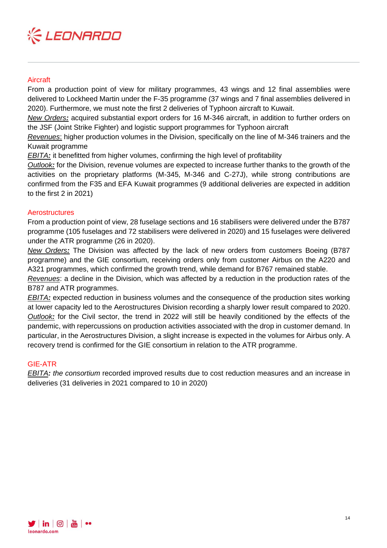

### **Aircraft**

From a production point of view for military programmes, 43 wings and 12 final assemblies were delivered to Lockheed Martin under the F-35 programme (37 wings and 7 final assemblies delivered in 2020). Furthermore, we must note the first 2 deliveries of Typhoon aircraft to Kuwait.

*New Orders:* acquired substantial export orders for 16 M-346 aircraft, in addition to further orders on the JSF (Joint Strike Fighter) and logistic support programmes for Typhoon aircraft

*Revenues*: higher production volumes in the Division, specifically on the line of M-346 trainers and the Kuwait programme

*EBITA*: it benefitted from higher volumes, confirming the high level of profitability

*Outlook:* for the Division, revenue volumes are expected to increase further thanks to the growth of the activities on the proprietary platforms (M-345, M-346 and C-27J), while strong contributions are confirmed from the F35 and EFA Kuwait programmes (9 additional deliveries are expected in addition to the first 2 in 2021)

### **Aerostructures**

From a production point of view, 28 fuselage sections and 16 stabilisers were delivered under the B787 programme (105 fuselages and 72 stabilisers were delivered in 2020) and 15 fuselages were delivered under the ATR programme (26 in 2020).

*New Orders:* The Division was affected by the lack of new orders from customers Boeing (B787 programme) and the GIE consortium, receiving orders only from customer Airbus on the A220 and A321 programmes, which confirmed the growth trend, while demand for B767 remained stable.

*Revenues*: a decline in the Division, which was affected by a reduction in the production rates of the B787 and ATR programmes.

*EBITA:* expected reduction in business volumes and the consequence of the production sites working at lower capacity led to the Aerostructures Division recording a sharply lower result compared to 2020. *Outlook:* for the Civil sector, the trend in 2022 will still be heavily conditioned by the effects of the pandemic, with repercussions on production activities associated with the drop in customer demand. In particular, in the Aerostructures Division, a slight increase is expected in the volumes for Airbus only. A recovery trend is confirmed for the GIE consortium in relation to the ATR programme.

#### GIE-ATR

*EBITA: the consortium* recorded improved results due to cost reduction measures and an increase in deliveries (31 deliveries in 2021 compared to 10 in 2020)

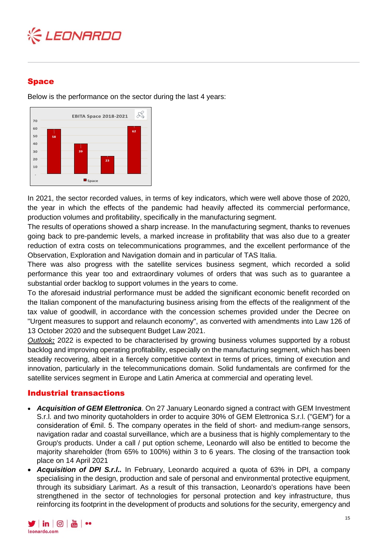

### Space

Below is the performance on the sector during the last 4 years:



In 2021, the sector recorded values, in terms of key indicators, which were well above those of 2020, the year in which the effects of the pandemic had heavily affected its commercial performance, production volumes and profitability, specifically in the manufacturing segment.

The results of operations showed a sharp increase. In the manufacturing segment, thanks to revenues going back to pre-pandemic levels, a marked increase in profitability that was also due to a greater reduction of extra costs on telecommunications programmes, and the excellent performance of the Observation, Exploration and Navigation domain and in particular of TAS Italia.

There was also progress with the satellite services business segment, which recorded a solid performance this year too and extraordinary volumes of orders that was such as to guarantee a substantial order backlog to support volumes in the years to come.

To the aforesaid industrial performance must be added the significant economic benefit recorded on the Italian component of the manufacturing business arising from the effects of the realignment of the tax value of goodwill, in accordance with the concession schemes provided under the Decree on "Urgent measures to support and relaunch economy", as converted with amendments into Law 126 of 13 October 2020 and the subsequent Budget Law 2021.

*Outlook:* 2022 is expected to be characterised by growing business volumes supported by a robust backlog and improving operating profitability, especially on the manufacturing segment, which has been steadily recovering, albeit in a fiercely competitive context in terms of prices, timing of execution and innovation, particularly in the telecommunications domain. Solid fundamentals are confirmed for the satellite services segment in Europe and Latin America at commercial and operating level.

# Industrial transactions

- *Acquisition of GEM Elettronica*. On 27 January Leonardo signed a contract with GEM Investment S.r.l. and two minority quotaholders in order to acquire 30% of GEM Elettronica S.r.l. ("GEM") for a consideration of €mil. 5. The company operates in the field of short- and medium-range sensors, navigation radar and coastal surveillance, which are a business that is highly complementary to the Group's products. Under a call / put option scheme, Leonardo will also be entitled to become the majority shareholder (from 65% to 100%) within 3 to 6 years. The closing of the transaction took place on 14 April 2021
- *Acquisition of DPI S.r.l..* In February, Leonardo acquired a quota of 63% in DPI, a company specialising in the design, production and sale of personal and environmental protective equipment, through its subsidiary Larimart. As a result of this transaction, Leonardo's operations have been strengthened in the sector of technologies for personal protection and key infrastructure, thus reinforcing its footprint in the development of products and solutions for the security, emergency and

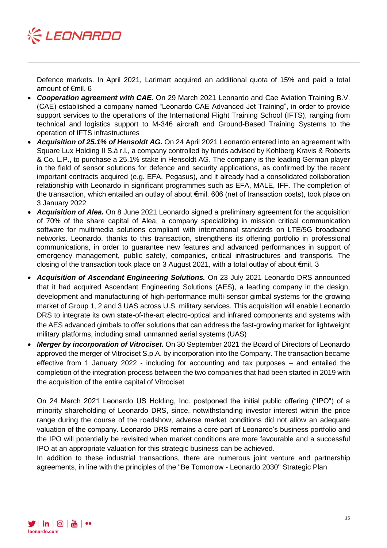

Defence markets. In April 2021, Larimart acquired an additional quota of 15% and paid a total amount of €mil. 6

- *Cooperation agreement with CAE.* On 29 March 2021 Leonardo and Cae Aviation Training B.V. (CAE) established a company named "Leonardo CAE Advanced Jet Training", in order to provide support services to the operations of the International Flight Training School (IFTS), ranging from technical and logistics support to M-346 aircraft and Ground-Based Training Systems to the operation of IFTS infrastructures
- *Acquisition of 25.1% of Hensoldt AG.* On 24 April 2021 Leonardo entered into an agreement with Square Lux Holding II S.à r.l., a company controlled by funds advised by Kohlberg Kravis & Roberts & Co. L.P., to purchase a 25.1% stake in Hensoldt AG. The company is the leading German player in the field of sensor solutions for defence and security applications, as confirmed by the recent important contracts acquired (e.g. EFA, Pegasus), and it already had a consolidated collaboration relationship with Leonardo in significant programmes such as EFA, MALE, IFF. The completion of the transaction, which entailed an outlay of about €mil. 606 (net of transaction costs), took place on 3 January 2022
- *Acquisition of Alea.* On 8 June 2021 Leonardo signed a preliminary agreement for the acquisition of 70% of the share capital of Alea, a company specializing in mission critical communication software for multimedia solutions compliant with international standards on LTE/5G broadband networks. Leonardo, thanks to this transaction, strengthens its offering portfolio in professional communications, in order to guarantee new features and advanced performances in support of emergency management, public safety, companies, critical infrastructures and transports. The closing of the transaction took place on 3 August 2021, with a total outlay of about €mil. 3
- *Acquisition of Ascendant Engineering Solutions.* On 23 July 2021 Leonardo DRS announced that it had acquired Ascendant Engineering Solutions (AES), a leading company in the design, development and manufacturing of high-performance multi-sensor gimbal systems for the growing market of Group 1, 2 and 3 UAS across U.S. military services. This acquisition will enable Leonardo DRS to integrate its own state-of-the-art electro-optical and infrared components and systems with the AES advanced gimbals to offer solutions that can address the fast-growing market for lightweight military platforms, including small unmanned aerial systems (UAS)
- *Merger by incorporation of Vitrociset.* On 30 September 2021 the Board of Directors of Leonardo approved the merger of Vitrociset S.p.A. by incorporation into the Company. The transaction became effective from 1 January 2022 - including for accounting and tax purposes – and entailed the completion of the integration process between the two companies that had been started in 2019 with the acquisition of the entire capital of Vitrociset

On 24 March 2021 Leonardo US Holding, Inc. postponed the initial public offering ("IPO") of a minority shareholding of Leonardo DRS, since, notwithstanding investor interest within the price range during the course of the roadshow, adverse market conditions did not allow an adequate valuation of the company. Leonardo DRS remains a core part of Leonardo's business portfolio and the IPO will potentially be revisited when market conditions are more favourable and a successful IPO at an appropriate valuation for this strategic business can be achieved.

In addition to these industrial transactions, there are numerous joint venture and partnership agreements, in line with the principles of the "Be Tomorrow - Leonardo 2030" Strategic Plan

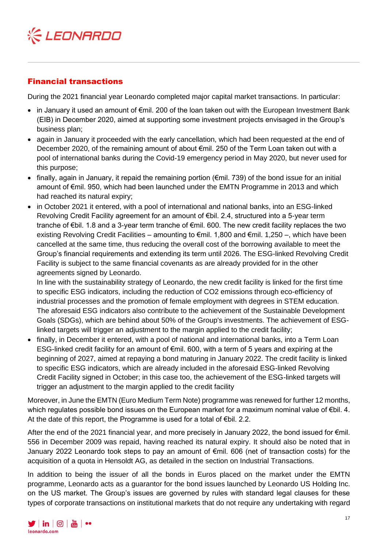

# Financial transactions

During the 2021 financial year Leonardo completed major capital market transactions. In particular:

- in January it used an amount of €mil. 200 of the loan taken out with the European Investment Bank (EIB) in December 2020, aimed at supporting some investment projects envisaged in the Group's business plan;
- again in January it proceeded with the early cancellation, which had been requested at the end of December 2020, of the remaining amount of about €mil. 250 of the Term Loan taken out with a pool of international banks during the Covid-19 emergency period in May 2020, but never used for this purpose;
- finally, again in January, it repaid the remaining portion (€mil. 739) of the bond issue for an initial amount of €mil. 950, which had been launched under the EMTN Programme in 2013 and which had reached its natural expiry;
- in October 2021 it entered, with a pool of international and national banks, into an ESG-linked Revolving Credit Facility agreement for an amount of €bil. 2.4, structured into a 5-year term tranche of €bil. 1.8 and a 3-year term tranche of €mil. 600. The new credit facility replaces the two existing Revolving Credit Facilities – amounting to €mil. 1,800 and €mil. 1,250 –, which have been cancelled at the same time, thus reducing the overall cost of the borrowing available to meet the Group's financial requirements and extending its term until 2026. The ESG-linked Revolving Credit Facility is subject to the same financial covenants as are already provided for in the other agreements signed by Leonardo.

In line with the sustainability strategy of Leonardo, the new credit facility is linked for the first time to specific ESG indicators, including the reduction of CO2 emissions through eco-efficiency of industrial processes and the promotion of female employment with degrees in STEM education. The aforesaid ESG indicators also contribute to the achievement of the Sustainable Development Goals (SDGs), which are behind about 50% of the Group's investments. The achievement of ESGlinked targets will trigger an adjustment to the margin applied to the credit facility;

• finally, in December it entered, with a pool of national and international banks, into a Term Loan ESG-linked credit facility for an amount of €mil. 600, with a term of 5 years and expiring at the beginning of 2027, aimed at repaying a bond maturing in January 2022. The credit facility is linked to specific ESG indicators, which are already included in the aforesaid ESG-linked Revolving Credit Facility signed in October; in this case too, the achievement of the ESG-linked targets will trigger an adjustment to the margin applied to the credit facility

Moreover, in June the EMTN (Euro Medium Term Note) programme was renewed for further 12 months, which regulates possible bond issues on the European market for a maximum nominal value of €bil. 4. At the date of this report, the Programme is used for a total of €bil. 2.2.

After the end of the 2021 financial year, and more precisely in January 2022, the bond issued for  $\epsilon$ mil. 556 in December 2009 was repaid, having reached its natural expiry. It should also be noted that in January 2022 Leonardo took steps to pay an amount of €mil. 606 (net of transaction costs) for the acquisition of a quota in Hensoldt AG, as detailed in the section on Industrial Transactions.

In addition to being the issuer of all the bonds in Euros placed on the market under the EMTN programme, Leonardo acts as a guarantor for the bond issues launched by Leonardo US Holding Inc. on the US market. The Group's issues are governed by rules with standard legal clauses for these types of corporate transactions on institutional markets that do not require any undertaking with regard

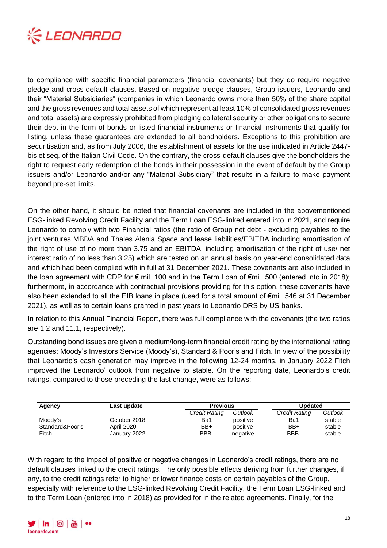

to compliance with specific financial parameters (financial covenants) but they do require negative pledge and cross-default clauses. Based on negative pledge clauses, Group issuers, Leonardo and their "Material Subsidiaries" (companies in which Leonardo owns more than 50% of the share capital and the gross revenues and total assets of which represent at least 10% of consolidated gross revenues and total assets) are expressly prohibited from pledging collateral security or other obligations to secure their debt in the form of bonds or listed financial instruments or financial instruments that qualify for listing, unless these guarantees are extended to all bondholders. Exceptions to this prohibition are securitisation and, as from July 2006, the establishment of assets for the use indicated in Article 2447 bis et seq. of the Italian Civil Code. On the contrary, the cross-default clauses give the bondholders the right to request early redemption of the bonds in their possession in the event of default by the Group issuers and/or Leonardo and/or any "Material Subsidiary" that results in a failure to make payment beyond pre-set limits.

On the other hand, it should be noted that financial covenants are included in the abovementioned ESG-linked Revolving Credit Facility and the Term Loan ESG-linked entered into in 2021, and require Leonardo to comply with two Financial ratios (the ratio of Group net debt - excluding payables to the joint ventures MBDA and Thales Alenia Space and lease liabilities/EBITDA including amortisation of the right of use of no more than 3.75 and an EBITDA, including amortisation of the right of use/ net interest ratio of no less than 3.25) which are tested on an annual basis on year-end consolidated data and which had been complied with in full at 31 December 2021. These covenants are also included in the loan agreement with CDP for € mil. 100 and in the Term Loan of €mil. 500 (entered into in 2018); furthermore, in accordance with contractual provisions providing for this option, these covenants have also been extended to all the EIB loans in place (used for a total amount of €mil. 546 at 31 December 2021), as well as to certain loans granted in past years to Leonardo DRS by US banks.

In relation to this Annual Financial Report, there was full compliance with the covenants (the two ratios are 1.2 and 11.1, respectively).

Outstanding bond issues are given a medium/long-term financial credit rating by the international rating agencies: Moody's Investors Service (Moody's), Standard & Poor's and Fitch. In view of the possibility that Leonardo's cash generation may improve in the following 12-24 months, in January 2022 Fitch improved the Leonardo' outlook from negative to stable. On the reporting date, Leonardo's credit ratings, compared to those preceding the last change, were as follows:

| Agency                   | Last update                | <b>Previous</b> |                      | Updated       |                  |
|--------------------------|----------------------------|-----------------|----------------------|---------------|------------------|
|                          |                            | Credit Rating   | Outlook              | Credit Rating | Outlook          |
| Moody's                  | October 2018               | Ba1             | positive             | Ba1           | stable           |
| Standard&Poor's<br>Fitch | April 2020<br>January 2022 | BB+<br>BBB-     | positive<br>negative | $BB+$<br>BBB- | stable<br>stable |

With regard to the impact of positive or negative changes in Leonardo's credit ratings, there are no default clauses linked to the credit ratings. The only possible effects deriving from further changes, if any, to the credit ratings refer to higher or lower finance costs on certain payables of the Group, especially with reference to the ESG-linked Revolving Credit Facility, the Term Loan ESG-linked and to the Term Loan (entered into in 2018) as provided for in the related agreements. Finally, for the

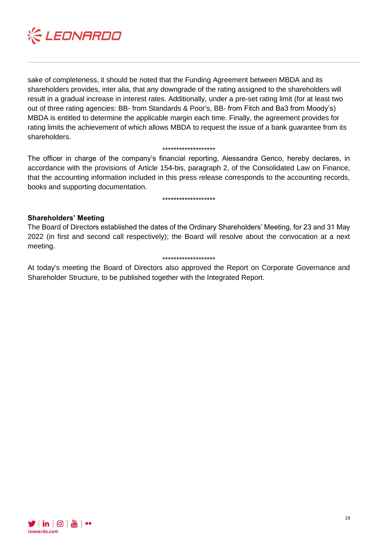

sake of completeness, it should be noted that the Funding Agreement between MBDA and its shareholders provides, inter alia, that any downgrade of the rating assigned to the shareholders will result in a gradual increase in interest rates. Additionally, under a pre-set rating limit (for at least two out of three rating agencies: BB- from Standards & Poor's, BB- from Fitch and Ba3 from Moody's) MBDA is entitled to determine the applicable margin each time. Finally, the agreement provides for rating limits the achievement of which allows MBDA to request the issue of a bank guarantee from its shareholders.

#### \*\*\*\*\*\*\*\*\*\*\*\*\*\*\*\*\*\*\*

The officer in charge of the company's financial reporting, Alessandra Genco, hereby declares, in accordance with the provisions of Article 154-bis, paragraph 2, of the Consolidated Law on Finance, that the accounting information included in this press release corresponds to the accounting records, books and supporting documentation.

#### \*\*\*\*\*\*\*\*\*\*\*\*\*\*\*\*\*\*\*

#### **Shareholders' Meeting**

The Board of Directors established the dates of the Ordinary Shareholders' Meeting, for 23 and 31 May 2022 (in first and second call respectively); the Board will resolve about the convocation at a next meeting.

#### \*\*\*\*\*\*\*\*\*\*\*\*\*\*\*\*\*\*\*

At today's meeting the Board of Directors also approved the Report on Corporate Governance and Shareholder Structure, to be published together with the Integrated Report.

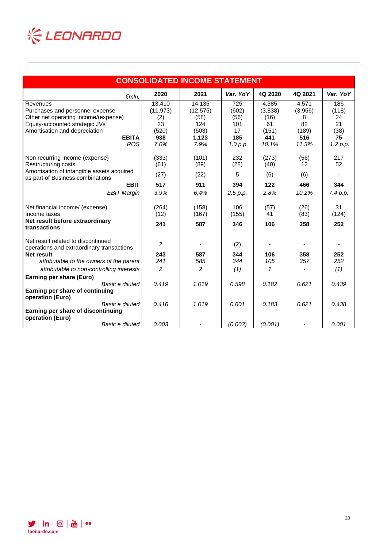

| <b>CONSOLIDATED INCOME STATEMENT</b>                                           |                |                |          |         |                   |          |  |  |
|--------------------------------------------------------------------------------|----------------|----------------|----------|---------|-------------------|----------|--|--|
| $\epsilon$ mln.                                                                | 2020           | 2021           | Var. YoY | 4Q 2020 | 4Q 2021           | Var. YoY |  |  |
| Revenues                                                                       | 13,410         | 14,135         | 725      | 4,385   | 4,571             | 186      |  |  |
| Purchases and personnel expense                                                | (11, 973)      | (12, 575)      | (602)    | (3,838) | (3,956)           | (118)    |  |  |
| Other net operating income/(expense)                                           | (2)            | (58)           | (56)     | (16)    | 8                 | 24       |  |  |
| Equity-accounted strategic JVs                                                 | 23             | 124            | 101      | 61      | 82                | 21       |  |  |
| Amortisation and depreciation                                                  | (520)          | (503)          | 17       | (151)   | (189)             | (38)     |  |  |
| <b>EBITA</b>                                                                   | 938            | 1,123          | 185      | 441     | 516               | 75       |  |  |
| <b>ROS</b>                                                                     | 7.0%           | 7.9%           | 1.0 p.p. | 10.1%   | 11.3%             | 1.2 p.p. |  |  |
| Non recurring income (expense)                                                 | (333)          | (101)          | 232      | (273)   | (56)              | 217      |  |  |
| Restructuring costs                                                            | (61)           | (89)           | (28)     | (40)    | $12 \overline{ }$ | 52       |  |  |
| Amortisation of intangible assets acquired<br>as part of Business combinations | (27)           | (22)           | 5        | (6)     | (6)               |          |  |  |
| <b>EBIT</b>                                                                    | 517            | 911            | 394      | 122     | 466               | 344      |  |  |
| <b>EBIT Margin</b>                                                             | 3.9%           | 6.4%           | 2.5 p.p. | 2.8%    | 10.2%             | 7.4 p.p. |  |  |
| Net financial income/ (expense)                                                | (264)          | (158)          | 106      | (57)    | (26)              | 31       |  |  |
| Income taxes                                                                   | (12)           | (167)          | (155)    | 41      | (83)              | (124)    |  |  |
| Net result before extraordinary<br>transactions                                | 241            | 587            | 346      | 106     | 358               | 252      |  |  |
| Net result related to discontinued                                             | $\overline{2}$ |                | (2)      |         |                   |          |  |  |
| operations and extraordinary transactions                                      |                |                |          |         |                   |          |  |  |
| <b>Net result</b>                                                              | 243            | 587            | 344      | 106     | 358               | 252      |  |  |
| attributable to the owners of the parent                                       | 241            | 585            | 344      | 105     | 357               | 252      |  |  |
| attributable to non-controlling interests                                      | 2              | $\overline{2}$ | (1)      | 1       |                   | (1)      |  |  |
| Earning per share (Euro)                                                       |                |                |          |         |                   |          |  |  |
| Basic e diluted                                                                | 0.419          | 1.019          | 0.598    | 0.182   | 0.621             | 0.439    |  |  |
| Earning per share of continuing<br>operation (Euro)                            |                |                |          |         |                   |          |  |  |
| Basic e diluted                                                                | 0.416          | 1.019          | 0.601    | 0.183   | 0.621             | 0.438    |  |  |
| Earning per share of discontinuing<br>operation (Euro)                         |                |                |          |         |                   |          |  |  |
| Basic e diluted                                                                | 0.003          |                | (0.003)  | (0.001) |                   | 0.001    |  |  |

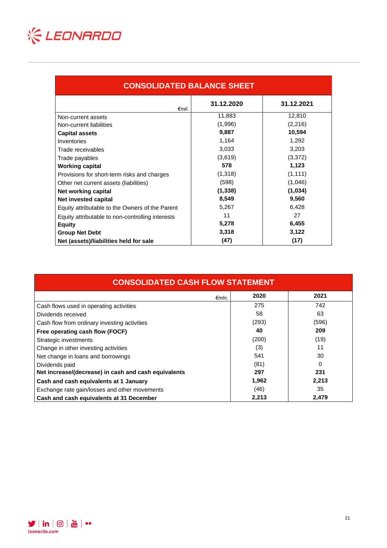

| <b>CONSOLIDATED BALANCE SHEET</b>                |            |            |  |  |  |  |
|--------------------------------------------------|------------|------------|--|--|--|--|
| €mil.                                            | 31.12.2020 | 31.12.2021 |  |  |  |  |
| Non-current assets                               | 11,883     | 12,810     |  |  |  |  |
| Non-current liabilities                          | (1,996)    | (2,216)    |  |  |  |  |
| <b>Capital assets</b>                            | 9,887      | 10,594     |  |  |  |  |
| Inventories                                      | 1,164      | 1,292      |  |  |  |  |
| Trade receivables                                | 3,033      | 3,203      |  |  |  |  |
| Trade payables                                   | (3,619)    | (3,372)    |  |  |  |  |
| <b>Working capital</b>                           | 578        | 1,123      |  |  |  |  |
| Provisions for short-term risks and charges      | (1, 318)   | (1, 111)   |  |  |  |  |
| Other net current assets (liabilities)           | (598)      | (1,046)    |  |  |  |  |
| Net working capital                              | (1, 338)   | (1,034)    |  |  |  |  |
| Net invested capital                             | 8,549      | 9,560      |  |  |  |  |
| Equity attributable to the Owners of the Parent  | 5,267      | 6,428      |  |  |  |  |
| Equity attributable to non-controlling interests | 11         | 27         |  |  |  |  |
| <b>Equity</b>                                    | 5,278      | 6,455      |  |  |  |  |
| <b>Group Net Debt</b>                            | 3,318      | 3,122      |  |  |  |  |
| Net (assets)/liabilities held for sale           | (47)       | (17)       |  |  |  |  |

| <b>CONSOLIDATED CASH FLOW STATEMENT</b>              |       |       |  |  |  |  |
|------------------------------------------------------|-------|-------|--|--|--|--|
| $\epsilon$ mln.                                      | 2020  | 2021  |  |  |  |  |
| Cash flows used in operating activities              | 275   | 742   |  |  |  |  |
| Dividends received                                   | 58    | 63    |  |  |  |  |
| Cash flow from ordinary investing activities         | (293) | (596) |  |  |  |  |
| Free operating cash flow (FOCF)                      | 40    | 209   |  |  |  |  |
| Strategic investments                                | (200) | (19)  |  |  |  |  |
| Change in other investing activities                 | (3)   | 11    |  |  |  |  |
| Net change in loans and borrowings                   | 541   | 30    |  |  |  |  |
| Dividends paid                                       | (81)  | 0     |  |  |  |  |
| Net increase/(decrease) in cash and cash equivalents | 297   | 231   |  |  |  |  |
| Cash and cash equivalents at 1 January               | 1,962 | 2,213 |  |  |  |  |
| Exchange rate gain/losses and other movements        | (46)  | 35    |  |  |  |  |
| Cash and cash equivalents at 31 December             | 2,213 | 2,479 |  |  |  |  |

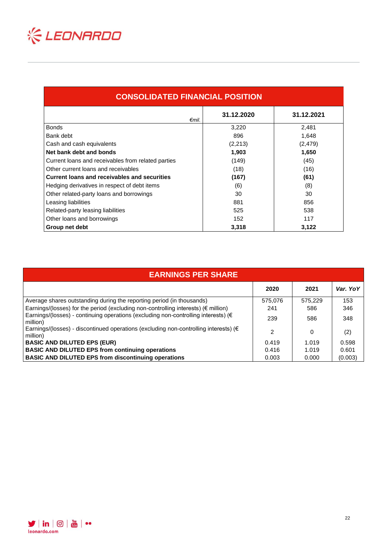

| <b>CONSOLIDATED FINANCIAL POSITION</b>             |            |            |  |  |  |  |  |
|----------------------------------------------------|------------|------------|--|--|--|--|--|
| €mil.                                              | 31.12.2020 | 31.12.2021 |  |  |  |  |  |
| <b>Bonds</b>                                       | 3,220      | 2,481      |  |  |  |  |  |
| Bank debt                                          | 896        | 1,648      |  |  |  |  |  |
| Cash and cash equivalents                          | (2,213)    | (2, 479)   |  |  |  |  |  |
| Net bank debt and bonds                            | 1,903      | 1,650      |  |  |  |  |  |
| Current loans and receivables from related parties | (149)      | (45)       |  |  |  |  |  |
| Other current loans and receivables                | (18)       | (16)       |  |  |  |  |  |
| Current loans and receivables and securities       | (167)      | (61)       |  |  |  |  |  |
| Hedging derivatives in respect of debt items       | (6)        | (8)        |  |  |  |  |  |
| Other related-party loans and borrowings           | 30         | 30         |  |  |  |  |  |
| Leasing liabilities                                | 881        | 856        |  |  |  |  |  |
| Related-party leasing liabilities                  | 525        | 538        |  |  |  |  |  |
| Other loans and borrowings                         | 152        | 117        |  |  |  |  |  |
| Group net debt                                     | 3,318      | 3,122      |  |  |  |  |  |

| <b>EARNINGS PER SHARE</b>                                                                                  |         |         |          |
|------------------------------------------------------------------------------------------------------------|---------|---------|----------|
|                                                                                                            | 2020    | 2021    | Var. YoY |
| Average shares outstanding during the reporting period (in thousands)                                      | 575,076 | 575.229 | 153      |
| Earnings/(losses) for the period (excluding non-controlling interests) ( $\epsilon$ million)               | 241     | 586     | 346      |
| Earnings/(losses) - continuing operations (excluding non-controlling interests) (€<br>million)             | 239     | 586     | 348      |
| Earnings/(losses) - discontinued operations (excluding non-controlling interests) ( $\epsilon$<br>million) | 2       | 0       | (2)      |
| <b>BASIC AND DILUTED EPS (EUR)</b>                                                                         | 0.419   | 1.019   | 0.598    |
| <b>BASIC AND DILUTED EPS from continuing operations</b>                                                    | 0.416   | 1.019   | 0.601    |
| <b>BASIC AND DILUTED EPS from discontinuing operations</b>                                                 | 0.003   | 0.000   | (0.003)  |

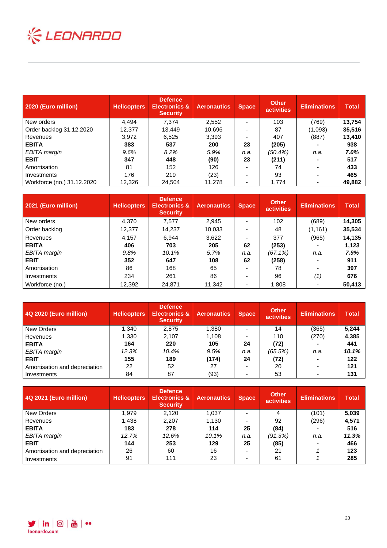

| 2020 (Euro million)        | <b>Helicopters</b> | <b>Defence</b><br><b>Electronics &amp;</b><br><b>Security</b> | <b>Aeronautics</b> | <b>Space</b> | <b>Other</b><br><b>activities</b> | <b>Eliminations</b> | <b>Total</b> |
|----------------------------|--------------------|---------------------------------------------------------------|--------------------|--------------|-----------------------------------|---------------------|--------------|
| New orders                 | 4,494              | 7.374                                                         | 2,552              |              | 103                               | (769)               | 13,754       |
| Order backlog 31.12.2020   | 12.377             | 13.449                                                        | 10,696             |              | 87                                | (1,093)             | 35,516       |
| Revenues                   | 3.972              | 6.525                                                         | 3,393              |              | 407                               | (887)               | 13,410       |
| <b>EBITA</b>               | 383                | 537                                                           | 200                | 23           | (205)                             |                     | 938          |
| EBITA margin               | 9.6%               | 8.2%                                                          | 5.9%               | n.a.         | (50.4%)                           | n.a.                | 7.0%         |
| <b>EBIT</b>                | 347                | 448                                                           | (90)               | 23           | (211)                             |                     | 517          |
| Amortisation               | 81                 | 152                                                           | 126                |              | 74                                |                     | 433          |
| Investments                | 176                | 219                                                           | (23)               |              | 93                                |                     | 465          |
| Workforce (no.) 31.12.2020 | 12,326             | 24,504                                                        | 11,278             |              | 1,774                             | ۰                   | 49,882       |

| 2021 (Euro million) | <b>Helicopters</b> | <b>Defence</b><br><b>Electronics &amp;</b><br><b>Security</b> | <b>Aeronautics</b> | <b>Space</b> | <b>Other</b><br><b>activities</b> | <b>Eliminations</b>      | <b>Total</b> |
|---------------------|--------------------|---------------------------------------------------------------|--------------------|--------------|-----------------------------------|--------------------------|--------------|
| New orders          | 4,370              | 7,577                                                         | 2,945              |              | 102                               | (689)                    | 14,305       |
| Order backlog       | 12,377             | 14.237                                                        | 10,033             |              | 48                                | (1, 161)                 | 35,534       |
| Revenues            | 4,157              | 6.944                                                         | 3,622              |              | 377                               | (965)                    | 14,135       |
| <b>EBITA</b>        | 406                | 703                                                           | 205                | 62           | (253)                             |                          | 1,123        |
| EBITA margin        | 9.8%               | 10.1%                                                         | 5.7%               | n.a.         | $(67.1\%)$                        | n.a.                     | 7.9%         |
| <b>EBIT</b>         | 352                | 647                                                           | 108                | 62           | (258)                             | $\blacksquare$           | 911          |
| Amortisation        | 86                 | 168                                                           | 65                 |              | 78                                |                          | 397          |
| Investments         | 234                | 261                                                           | 86                 |              | 96                                | (1)                      | 676          |
| Workforce (no.)     | 12,392             | 24,871                                                        | 11,342             |              | 1,808                             | $\overline{\phantom{0}}$ | 50,413       |

| 4Q 2020 (Euro million)        | <b>Helicopters</b> | <b>Defence</b><br><b>Electronics &amp;</b><br><b>Security</b> | <b>Aeronautics</b> | <b>Space</b> | <b>Other</b><br><b>activities</b> | <b>Eliminations</b>      | <b>Total</b> |
|-------------------------------|--------------------|---------------------------------------------------------------|--------------------|--------------|-----------------------------------|--------------------------|--------------|
| New Orders                    | 1,340              | 2,875                                                         | 1,380              |              | 14                                | (365)                    | 5,244        |
| Revenues                      | 1,330              | 2,107                                                         | 1,108              |              | 110                               | (270)                    | 4,385        |
| <b>EBITA</b>                  | 164                | 220                                                           | 105                | 24           | (72)                              |                          | 441          |
| EBITA margin                  | 12.3%              | 10.4%                                                         | 9.5%               | n.a.         | (65.5%)                           | n.a.                     | 10.1%        |
| <b>EBIT</b>                   | 155                | 189                                                           | (174)              | 24           | (72)                              |                          | 122          |
| Amortisation and depreciation | 22                 | 52                                                            | 27                 |              | 20                                | $\overline{\phantom{0}}$ | 121          |
| Investments                   | 84                 | 87                                                            | (93)               |              | 53                                |                          | 131          |

| 4Q 2021 (Euro million)        | <b>Helicopters</b> | <b>Defence</b><br><b>Electronics &amp;</b><br><b>Security</b> | <b>Aeronautics</b> | <b>Space</b> | <b>Other</b><br><b>activities</b> | <b>Eliminations</b> | <b>Total</b> |
|-------------------------------|--------------------|---------------------------------------------------------------|--------------------|--------------|-----------------------------------|---------------------|--------------|
| New Orders                    | 1.979              | 2.120                                                         | 1.037              |              | 4                                 | (101)               | 5,039        |
| Revenues                      | 1,438              | 2,207                                                         | 1,130              |              | 92                                | (296)               | 4,571        |
| <b>EBITA</b>                  | 183                | 278                                                           | 114                | 25           | (84)                              |                     | 516          |
| EBITA margin                  | 12.7%              | 12.6%                                                         | 10.1%              | n.a.         | (91.3%)                           | n.a.                | 11.3%        |
| <b>EBIT</b>                   | 144                | 253                                                           | 129                | 25           | (85)                              |                     | 466          |
| Amortisation and depreciation | 26                 | 60                                                            | 16                 |              | 21                                |                     | 123          |
| Investments                   | 91                 | 111                                                           | 23                 |              | 61                                |                     | 285          |